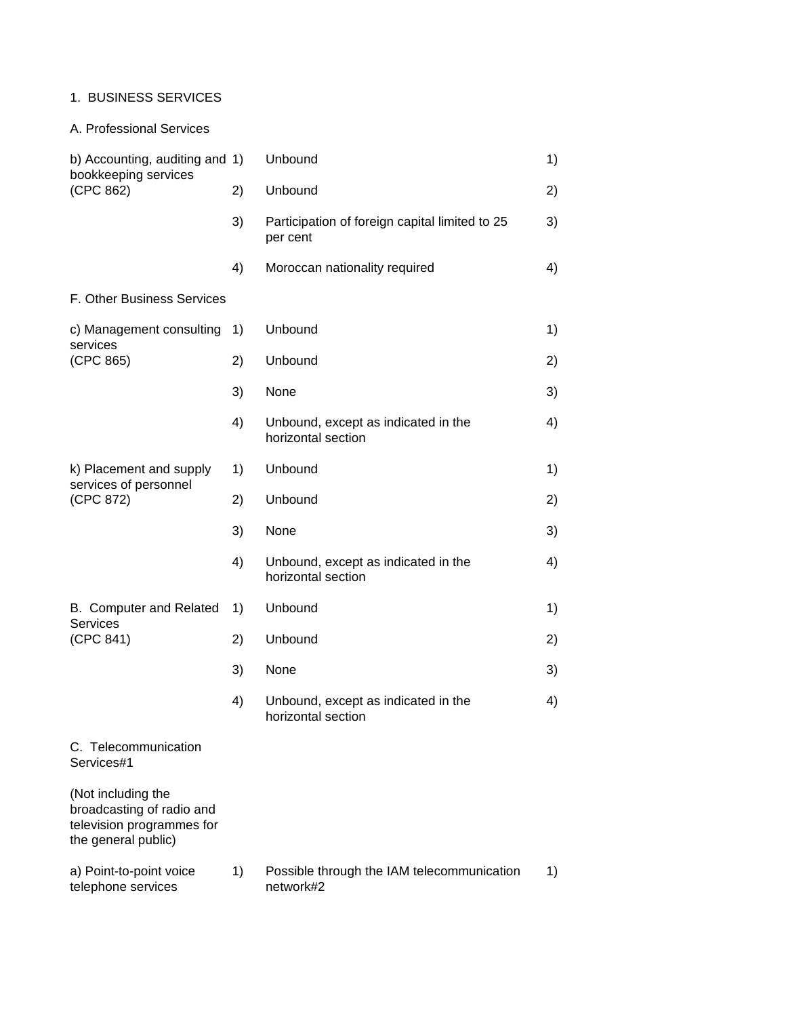# 1. BUSINESS SERVICES

A. Professional Services

| b) Accounting, auditing and 1)<br>bookkeeping services                                              |    | Unbound                                                    | 1) |
|-----------------------------------------------------------------------------------------------------|----|------------------------------------------------------------|----|
| (CPC 862)                                                                                           | 2) | Unbound                                                    | 2) |
|                                                                                                     | 3) | Participation of foreign capital limited to 25<br>per cent | 3) |
|                                                                                                     | 4) | Moroccan nationality required                              | 4) |
| F. Other Business Services                                                                          |    |                                                            |    |
| c) Management consulting                                                                            | 1) | Unbound                                                    | 1) |
| services<br>(CPC 865)                                                                               | 2) | Unbound                                                    | 2) |
|                                                                                                     | 3) | None                                                       | 3) |
|                                                                                                     | 4) | Unbound, except as indicated in the<br>horizontal section  | 4) |
| k) Placement and supply<br>services of personnel<br>(CPC 872)                                       | 1) | Unbound                                                    | 1) |
|                                                                                                     | 2) | Unbound                                                    | 2) |
|                                                                                                     | 3) | None                                                       | 3) |
|                                                                                                     | 4) | Unbound, except as indicated in the<br>horizontal section  | 4) |
| B. Computer and Related<br><b>Services</b><br>(CPC 841)                                             | 1) | Unbound                                                    | 1) |
|                                                                                                     | 2) | Unbound                                                    | 2) |
|                                                                                                     | 3) | None                                                       | 3) |
|                                                                                                     | 4) | Unbound, except as indicated in the<br>horizontal section  | 4) |
| C. Telecommunication<br>Services#1                                                                  |    |                                                            |    |
| (Not including the<br>broadcasting of radio and<br>television programmes for<br>the general public) |    |                                                            |    |
| a) Point-to-point voice<br>telephone services                                                       | 1) | Possible through the IAM telecommunication<br>network#2    | 1) |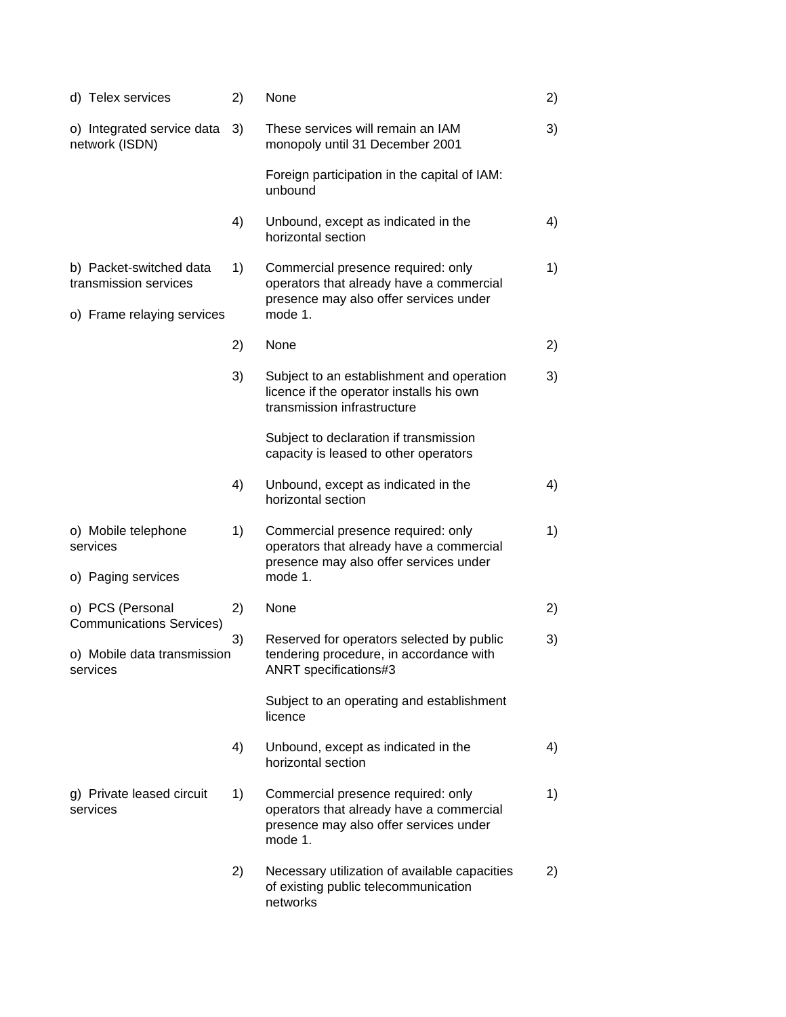| d) Telex services                                                              | 2) | None                                                                                                                                | 2) |
|--------------------------------------------------------------------------------|----|-------------------------------------------------------------------------------------------------------------------------------------|----|
| o) Integrated service data<br>network (ISDN)                                   | 3) | These services will remain an IAM<br>monopoly until 31 December 2001                                                                | 3) |
|                                                                                |    | Foreign participation in the capital of IAM:<br>unbound                                                                             |    |
|                                                                                | 4) | Unbound, except as indicated in the<br>horizontal section                                                                           | 4) |
| b) Packet-switched data<br>transmission services<br>o) Frame relaying services | 1) | Commercial presence required: only<br>operators that already have a commercial<br>presence may also offer services under<br>mode 1. | 1) |
|                                                                                | 2) | None                                                                                                                                | 2) |
|                                                                                | 3) | Subject to an establishment and operation<br>licence if the operator installs his own<br>transmission infrastructure                | 3) |
|                                                                                |    | Subject to declaration if transmission<br>capacity is leased to other operators                                                     |    |
|                                                                                | 4) | Unbound, except as indicated in the<br>horizontal section                                                                           | 4) |
| o) Mobile telephone<br>services<br>o) Paging services                          | 1) | Commercial presence required: only<br>operators that already have a commercial<br>presence may also offer services under<br>mode 1. | 1) |
|                                                                                |    |                                                                                                                                     |    |
| o) PCS (Personal<br><b>Communications Services)</b>                            | 2) | None                                                                                                                                | 2) |
| o) Mobile data transmission<br>services                                        | 3) | Reserved for operators selected by public<br>tendering procedure, in accordance with<br>ANRT specifications#3                       | 3) |
|                                                                                |    | Subject to an operating and establishment<br>licence                                                                                |    |
|                                                                                | 4) | Unbound, except as indicated in the<br>horizontal section                                                                           | 4) |
| g) Private leased circuit<br>services                                          | 1) | Commercial presence required: only<br>operators that already have a commercial<br>presence may also offer services under<br>mode 1. | 1) |
|                                                                                | 2) | Necessary utilization of available capacities<br>of existing public telecommunication<br>networks                                   | 2) |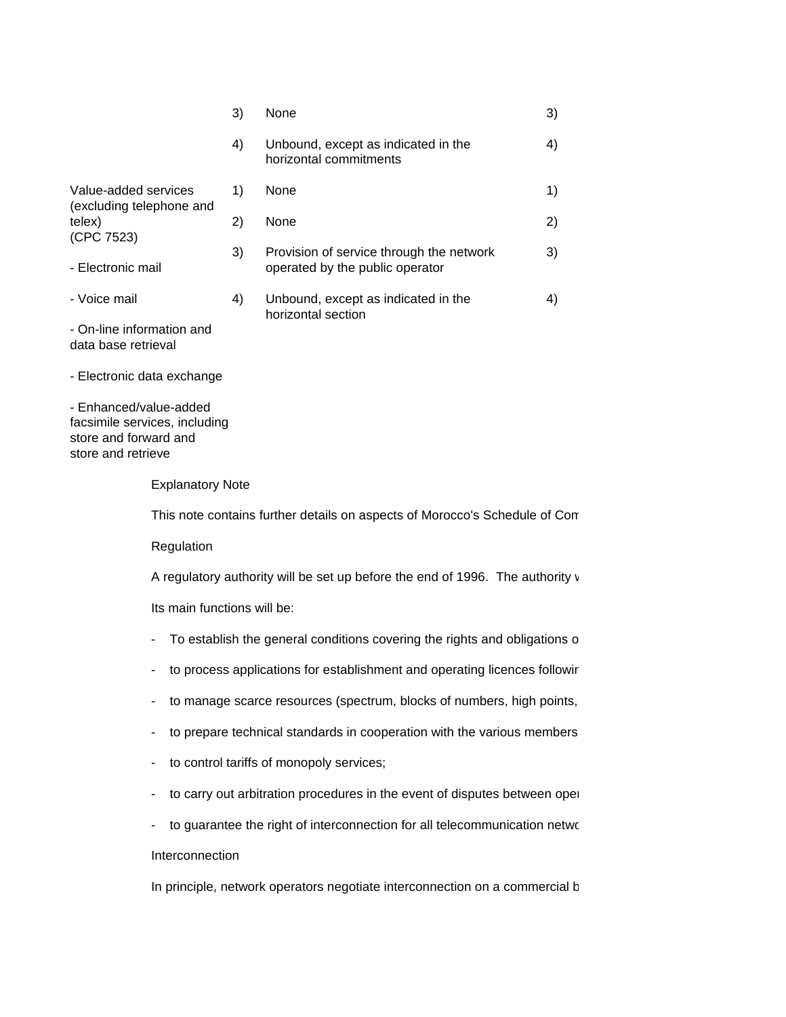|                                                                                                        |                             | 3) | None                                                                          | 3) |  |
|--------------------------------------------------------------------------------------------------------|-----------------------------|----|-------------------------------------------------------------------------------|----|--|
|                                                                                                        |                             | 4) | Unbound, except as indicated in the<br>horizontal commitments                 | 4) |  |
| Value-added services<br>(excluding telephone and                                                       |                             | 1) | None                                                                          | 1) |  |
| telex)<br>(CPC 7523)                                                                                   |                             | 2) | None                                                                          | 2) |  |
| - Electronic mail                                                                                      |                             | 3) | Provision of service through the network<br>operated by the public operator   | 3) |  |
| - Voice mail                                                                                           |                             | 4) | Unbound, except as indicated in the<br>horizontal section                     | 4) |  |
| - On-line information and<br>data base retrieval                                                       |                             |    |                                                                               |    |  |
| Electronic data exchange                                                                               |                             |    |                                                                               |    |  |
| - Enhanced/value-added<br>facsimile services, including<br>store and forward and<br>store and retrieve |                             |    |                                                                               |    |  |
|                                                                                                        | <b>Explanatory Note</b>     |    |                                                                               |    |  |
|                                                                                                        |                             |    | This note contains further details on aspects of Morocco's Schedule of Con    |    |  |
|                                                                                                        | Regulation                  |    |                                                                               |    |  |
|                                                                                                        |                             |    | A regulatory authority will be set up before the end of 1996. The authority v |    |  |
|                                                                                                        | Its main functions will be: |    |                                                                               |    |  |
|                                                                                                        |                             |    | - To establish the general conditions covering the rights and obligations o   |    |  |
|                                                                                                        |                             |    | - to process applications for establishment and operating licences followir   |    |  |
|                                                                                                        |                             |    | - to manage scarce resources (spectrum, blocks of numbers, high points,       |    |  |
|                                                                                                        |                             |    | - to prepare technical standards in cooperation with the various members      |    |  |
|                                                                                                        |                             |    | - to control tariffs of monopoly services;                                    |    |  |
|                                                                                                        |                             |    | - to carry out arbitration procedures in the event of disputes between oper   |    |  |

- to guarantee the right of interconnection for all telecommunication netwo

# Interconnection

In principle, network operators negotiate interconnection on a commercial b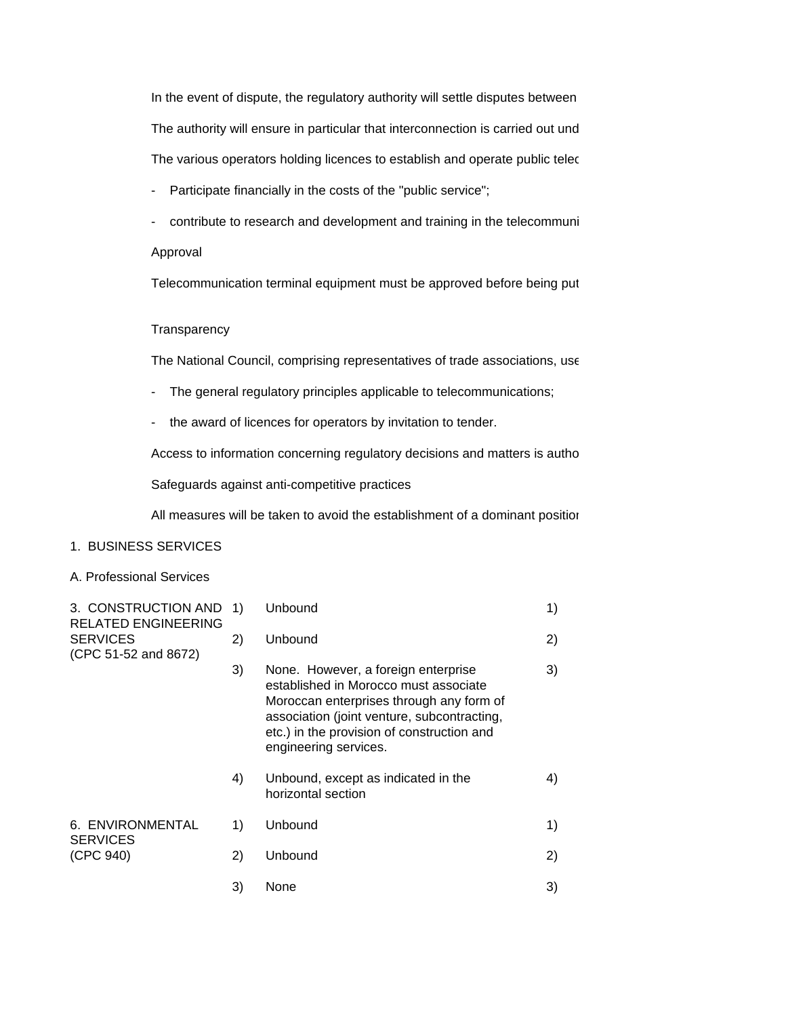In the event of dispute, the regulatory authority will settle disputes between The authority will ensure in particular that interconnection is carried out und The various operators holding licences to establish and operate public telec

- Participate financially in the costs of the "public service";
- contribute to research and development and training in the telecommuni

### Approval

Telecommunication terminal equipment must be approved before being put

#### **Transparency**

The National Council, comprising representatives of trade associations, use

- The general regulatory principles applicable to telecommunications;
- the award of licences for operators by invitation to tender.

Access to information concerning regulatory decisions and matters is autho

Safeguards against anti-competitive practices

All measures will be taken to avoid the establishment of a dominant positior

### 1. BUSINESS SERVICES

### A. Professional Services

| 3. CONSTRUCTION AND<br><b>RELATED ENGINEERING</b> | 1) | Unbound                                                                                                                                                                                                                                        | 1) |
|---------------------------------------------------|----|------------------------------------------------------------------------------------------------------------------------------------------------------------------------------------------------------------------------------------------------|----|
| <b>SERVICES</b><br>(CPC 51-52 and 8672)           | 2) | Unbound                                                                                                                                                                                                                                        | 2) |
|                                                   | 3) | None. However, a foreign enterprise<br>established in Morocco must associate<br>Moroccan enterprises through any form of<br>association (joint venture, subcontracting,<br>etc.) in the provision of construction and<br>engineering services. | 3) |
|                                                   | 4) | Unbound, except as indicated in the<br>horizontal section                                                                                                                                                                                      | 4) |
| 6. ENVIRONMENTAL<br><b>SERVICES</b>               | 1) | Unbound                                                                                                                                                                                                                                        | 1) |
| (CPC 940)                                         | 2) | Unbound                                                                                                                                                                                                                                        | 2) |
|                                                   | 3) | None                                                                                                                                                                                                                                           | 3) |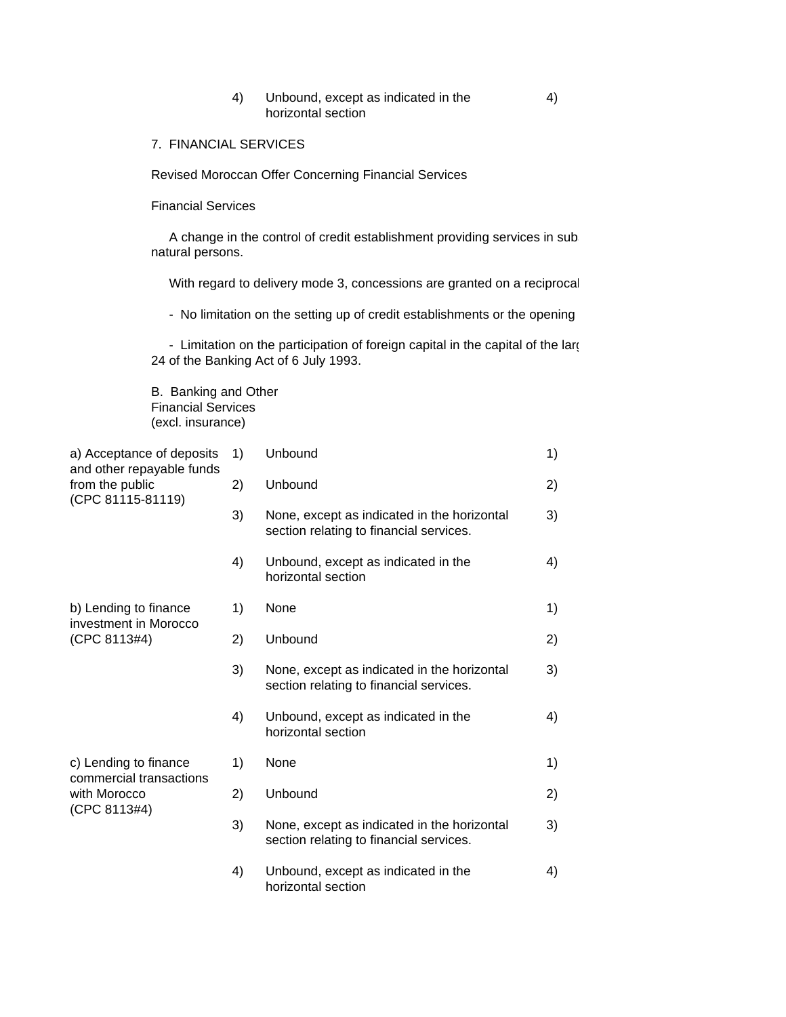### 4) Unbound, except as indicated in the 4) horizontal section

7. FINANCIAL SERVICES

Revised Moroccan Offer Concerning Financial Services

Financial Services

A change in the control of credit establishment providing services in subnatural persons.

With regard to delivery mode 3, concessions are granted on a reciprocal

- No limitation on the setting up of credit establishments or the opening

- Limitation on the participation of foreign capital in the capital of the large 24 of the Banking Act of 6 July 1993.

B. Banking and Other Financial Services (excl. insurance)

| a) Acceptance of deposits<br>and other repayable funds<br>from the public<br>(CPC 81115-81119) | 1) | Unbound                                                                                | 1) |
|------------------------------------------------------------------------------------------------|----|----------------------------------------------------------------------------------------|----|
|                                                                                                | 2) | Unbound                                                                                | 2) |
|                                                                                                | 3) | None, except as indicated in the horizontal<br>section relating to financial services. | 3) |
|                                                                                                | 4) | Unbound, except as indicated in the<br>horizontal section                              | 4) |
| b) Lending to finance<br>investment in Morocco<br>(CPC 8113#4)                                 | 1) | None                                                                                   | 1) |
|                                                                                                | 2) | Unbound                                                                                | 2) |
|                                                                                                | 3) | None, except as indicated in the horizontal<br>section relating to financial services. | 3) |
|                                                                                                | 4) | Unbound, except as indicated in the<br>horizontal section                              | 4) |
| c) Lending to finance<br>commercial transactions<br>with Morocco<br>(CPC 8113#4)               | 1) | None                                                                                   | 1) |
|                                                                                                | 2) | Unbound                                                                                | 2) |
|                                                                                                | 3) | None, except as indicated in the horizontal<br>section relating to financial services. | 3) |
|                                                                                                | 4) | Unbound, except as indicated in the<br>horizontal section                              | 4) |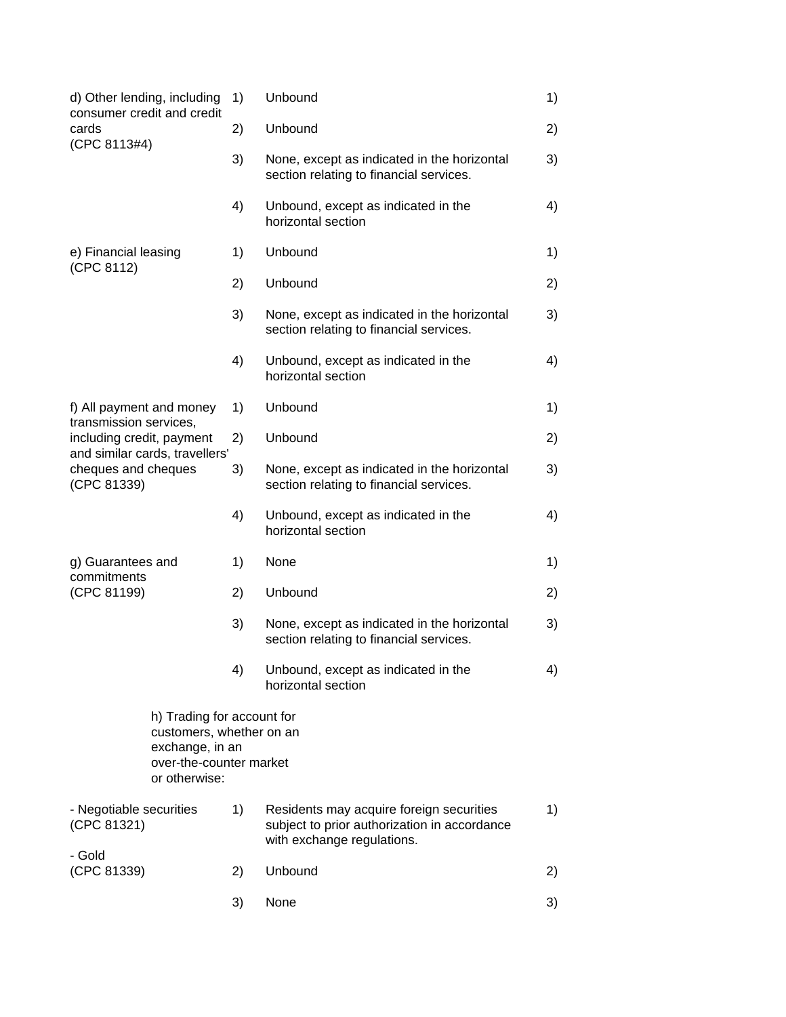| d) Other lending, including                                                                                                                             | 1) | Unbound                                                                                                                | 1) |
|---------------------------------------------------------------------------------------------------------------------------------------------------------|----|------------------------------------------------------------------------------------------------------------------------|----|
| consumer credit and credit<br>cards<br>(CPC 8113#4)                                                                                                     | 2) | Unbound                                                                                                                | 2) |
|                                                                                                                                                         | 3) | None, except as indicated in the horizontal<br>section relating to financial services.                                 | 3) |
|                                                                                                                                                         | 4) | Unbound, except as indicated in the<br>horizontal section                                                              | 4) |
| e) Financial leasing                                                                                                                                    | 1) | Unbound                                                                                                                | 1) |
| (CPC 8112)                                                                                                                                              | 2) | Unbound                                                                                                                | 2) |
|                                                                                                                                                         | 3) | None, except as indicated in the horizontal<br>section relating to financial services.                                 | 3) |
|                                                                                                                                                         | 4) | Unbound, except as indicated in the<br>horizontal section                                                              | 4) |
| f) All payment and money<br>transmission services,<br>including credit, payment<br>and similar cards, travellers'<br>cheques and cheques<br>(CPC 81339) | 1) | Unbound                                                                                                                | 1) |
|                                                                                                                                                         | 2) | Unbound                                                                                                                | 2) |
|                                                                                                                                                         | 3) | None, except as indicated in the horizontal<br>section relating to financial services.                                 | 3) |
|                                                                                                                                                         | 4) | Unbound, except as indicated in the<br>horizontal section                                                              | 4) |
| g) Guarantees and                                                                                                                                       | 1) | None                                                                                                                   | 1) |
| commitments<br>(CPC 81199)                                                                                                                              | 2) | Unbound                                                                                                                | 2) |
|                                                                                                                                                         | 3) | None, except as indicated in the horizontal<br>section relating to financial services.                                 | 3) |
|                                                                                                                                                         | 4) | Unbound, except as indicated in the<br>horizontal section                                                              | 4) |
| h) Trading for account for<br>customers, whether on an<br>exchange, in an<br>over-the-counter market<br>or otherwise:                                   |    |                                                                                                                        |    |
| - Negotiable securities<br>(CPC 81321)                                                                                                                  | 1) | Residents may acquire foreign securities<br>subject to prior authorization in accordance<br>with exchange regulations. | 1) |
| - Gold<br>(CPC 81339)                                                                                                                                   | 2) | Unbound                                                                                                                | 2) |
|                                                                                                                                                         | 3) | None                                                                                                                   | 3) |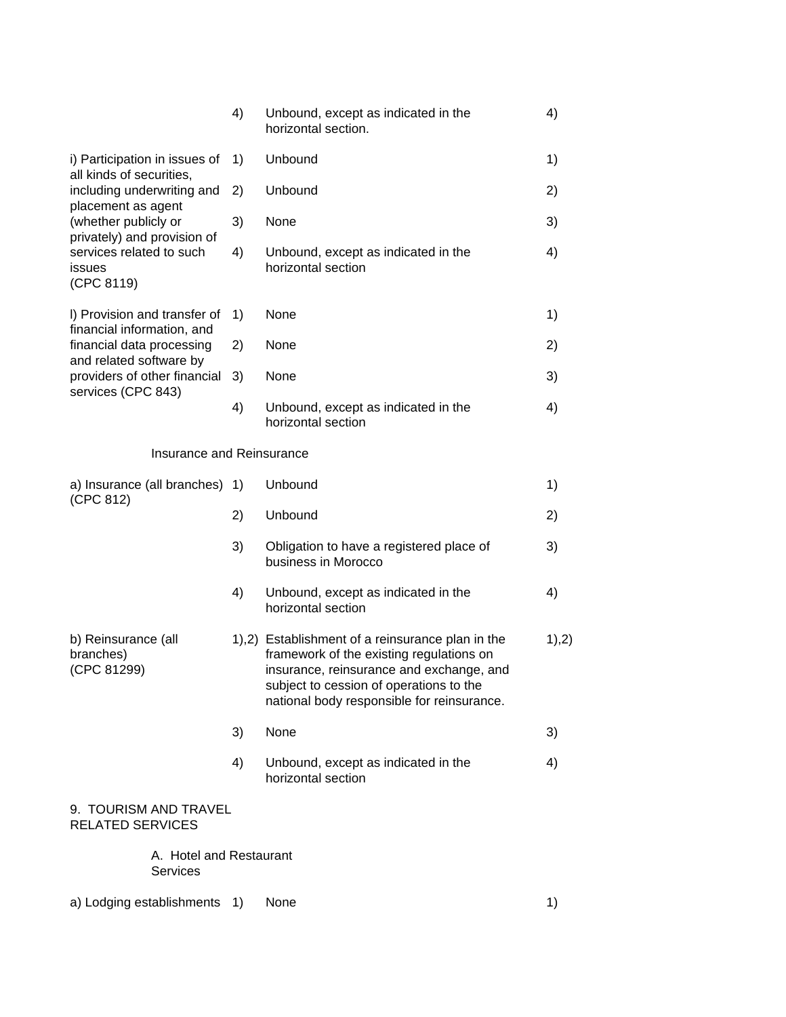|                                                            | 4) | Unbound, except as indicated in the<br>horizontal section.                                                                                                                                                                        | 4)     |
|------------------------------------------------------------|----|-----------------------------------------------------------------------------------------------------------------------------------------------------------------------------------------------------------------------------------|--------|
| i) Participation in issues of<br>all kinds of securities,  | 1) | Unbound                                                                                                                                                                                                                           | 1)     |
| including underwriting and<br>placement as agent           | 2) | Unbound                                                                                                                                                                                                                           | 2)     |
| (whether publicly or<br>privately) and provision of        | 3) | None                                                                                                                                                                                                                              | 3)     |
| services related to such<br>issues<br>(CPC 8119)           | 4) | Unbound, except as indicated in the<br>horizontal section                                                                                                                                                                         | 4)     |
| I) Provision and transfer of<br>financial information, and | 1) | None                                                                                                                                                                                                                              | 1)     |
| financial data processing<br>and related software by       | 2) | None                                                                                                                                                                                                                              | 2)     |
| providers of other financial<br>services (CPC 843)         | 3) | None                                                                                                                                                                                                                              | 3)     |
|                                                            | 4) | Unbound, except as indicated in the<br>horizontal section                                                                                                                                                                         | 4)     |
| Insurance and Reinsurance                                  |    |                                                                                                                                                                                                                                   |        |
| a) Insurance (all branches) 1)<br>(CPC 812)                |    | Unbound                                                                                                                                                                                                                           | 1)     |
|                                                            | 2) | Unbound                                                                                                                                                                                                                           | 2)     |
|                                                            | 3) | Obligation to have a registered place of<br>business in Morocco                                                                                                                                                                   | 3)     |
|                                                            | 4) | Unbound, except as indicated in the<br>horizontal section                                                                                                                                                                         | 4)     |
| b) Reinsurance (all<br>branches)<br>(CPC 81299)            |    | 1),2) Establishment of a reinsurance plan in the<br>framework of the existing regulations on<br>insurance, reinsurance and exchange, and<br>subject to cession of operations to the<br>national body responsible for reinsurance. | 1), 2) |
|                                                            | 3) | None                                                                                                                                                                                                                              | 3)     |
|                                                            | 4) | Unbound, except as indicated in the<br>horizontal section                                                                                                                                                                         | 4)     |
| 9. TOURISM AND TRAVEL<br><b>RELATED SERVICES</b>           |    |                                                                                                                                                                                                                                   |        |
| A. Hotel and Restaurant<br><b>Services</b>                 |    |                                                                                                                                                                                                                                   |        |

a) Lodging establishments 1) None 1)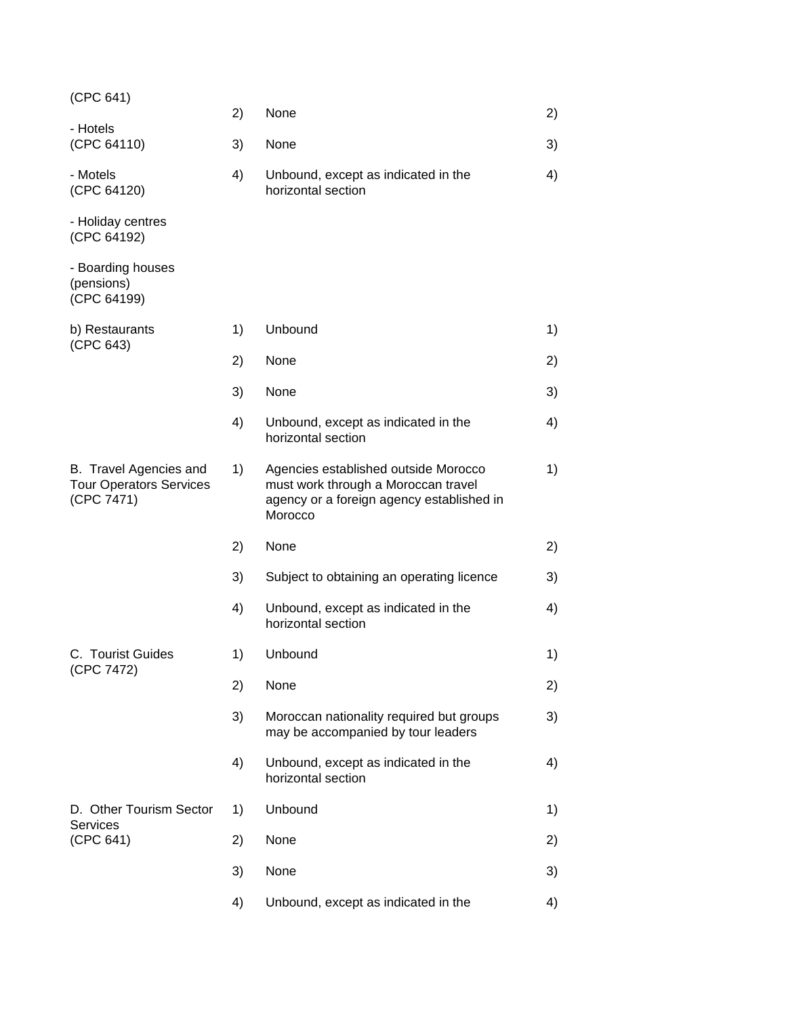| (CPC 641)                                                              |    |                                                                                                                                     |    |
|------------------------------------------------------------------------|----|-------------------------------------------------------------------------------------------------------------------------------------|----|
| - Hotels                                                               | 2) | None                                                                                                                                | 2) |
| (CPC 64110)                                                            | 3) | None                                                                                                                                | 3) |
| - Motels<br>(CPC 64120)                                                | 4) | Unbound, except as indicated in the<br>horizontal section                                                                           | 4) |
| - Holiday centres<br>(CPC 64192)                                       |    |                                                                                                                                     |    |
| - Boarding houses<br>(pensions)<br>(CPC 64199)                         |    |                                                                                                                                     |    |
| b) Restaurants<br>(CPC 643)                                            | 1) | Unbound                                                                                                                             | 1) |
|                                                                        | 2) | None                                                                                                                                | 2) |
|                                                                        | 3) | None                                                                                                                                | 3) |
|                                                                        | 4) | Unbound, except as indicated in the<br>horizontal section                                                                           | 4) |
| B. Travel Agencies and<br><b>Tour Operators Services</b><br>(CPC 7471) | 1) | Agencies established outside Morocco<br>must work through a Moroccan travel<br>agency or a foreign agency established in<br>Morocco | 1) |
|                                                                        | 2) | None                                                                                                                                | 2) |
|                                                                        | 3) | Subject to obtaining an operating licence                                                                                           | 3) |
|                                                                        | 4) | Unbound, except as indicated in the<br>horizontal section                                                                           | 4) |
| C. Tourist Guides                                                      | 1) | Unbound                                                                                                                             | 1) |
| (CPC 7472)                                                             | 2) | None                                                                                                                                | 2) |
|                                                                        | 3) | Moroccan nationality required but groups<br>may be accompanied by tour leaders                                                      | 3) |
|                                                                        | 4) | Unbound, except as indicated in the<br>horizontal section                                                                           | 4) |
| D. Other Tourism Sector                                                | 1) | Unbound                                                                                                                             | 1) |
| <b>Services</b><br>(CPC 641)                                           | 2) | None                                                                                                                                | 2) |
|                                                                        | 3) | None                                                                                                                                | 3) |
|                                                                        | 4) | Unbound, except as indicated in the                                                                                                 | 4) |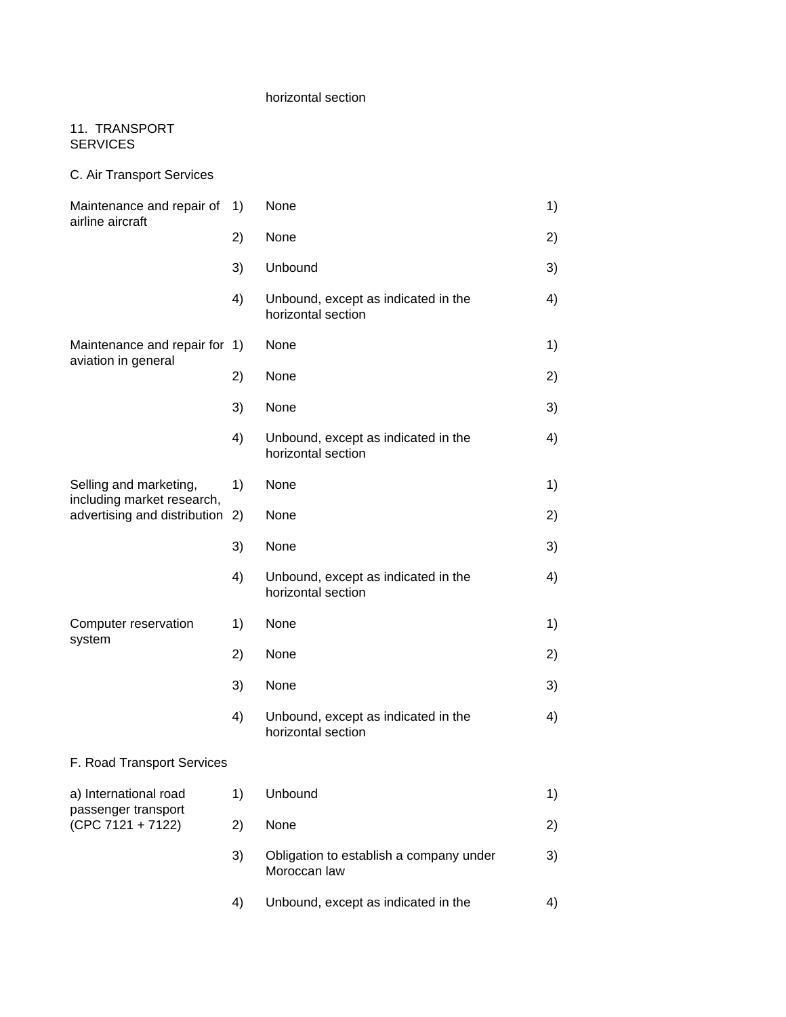## horizontal section

## 11. TRANSPORT SERVICES

C. Air Transport Services

| Maintenance and repair of<br>airline aircraft                                        | 1) | None                                                      | 1) |
|--------------------------------------------------------------------------------------|----|-----------------------------------------------------------|----|
|                                                                                      | 2) | None                                                      | 2) |
|                                                                                      | 3) | Unbound                                                   | 3) |
|                                                                                      | 4) | Unbound, except as indicated in the<br>horizontal section | 4) |
| Maintenance and repair for 1)                                                        |    | None                                                      | 1) |
| aviation in general                                                                  | 2) | None                                                      | 2) |
|                                                                                      | 3) | None                                                      | 3) |
|                                                                                      | 4) | Unbound, except as indicated in the<br>horizontal section | 4) |
| Selling and marketing,<br>including market research,<br>advertising and distribution | 1) | None                                                      | 1) |
|                                                                                      | 2) | None                                                      | 2) |
|                                                                                      | 3) | None                                                      | 3) |
|                                                                                      | 4) | Unbound, except as indicated in the<br>horizontal section | 4) |
| Computer reservation                                                                 | 1) | None                                                      | 1) |
| system                                                                               | 2) | None                                                      | 2) |
|                                                                                      | 3) | None                                                      | 3) |
|                                                                                      | 4) | Unbound, except as indicated in the<br>horizontal section | 4) |
| F. Road Transport Services                                                           |    |                                                           |    |
| a) International road                                                                | 1) | Unbound                                                   | 1) |
| passenger transport<br>$(CPC 7121 + 7122)$                                           | 2) | None                                                      | 2) |
|                                                                                      | 3) | Obligation to establish a company under<br>Moroccan law   | 3) |
|                                                                                      | 4) | Unbound, except as indicated in the                       | 4) |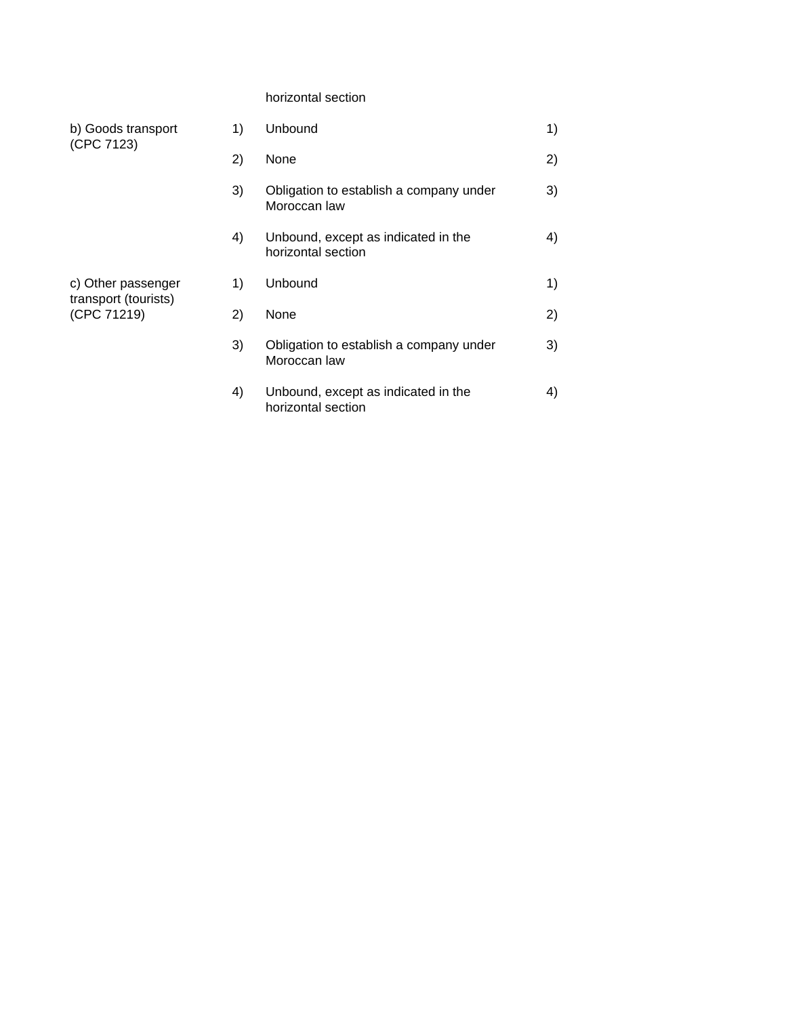## horizontal section

| b) Goods transport<br>(CPC 7123)           | 1) | Unbound                                                   | 1) |
|--------------------------------------------|----|-----------------------------------------------------------|----|
|                                            | 2) | None                                                      | 2) |
|                                            | 3) | Obligation to establish a company under<br>Moroccan law   | 3) |
|                                            | 4) | Unbound, except as indicated in the<br>horizontal section | 4) |
| c) Other passenger<br>transport (tourists) | 1) | Unbound                                                   | 1) |
| (CPC 71219)                                | 2) | None                                                      | 2) |
|                                            | 3) | Obligation to establish a company under<br>Moroccan law   | 3) |
|                                            | 4) | Unbound, except as indicated in the<br>horizontal section | 4) |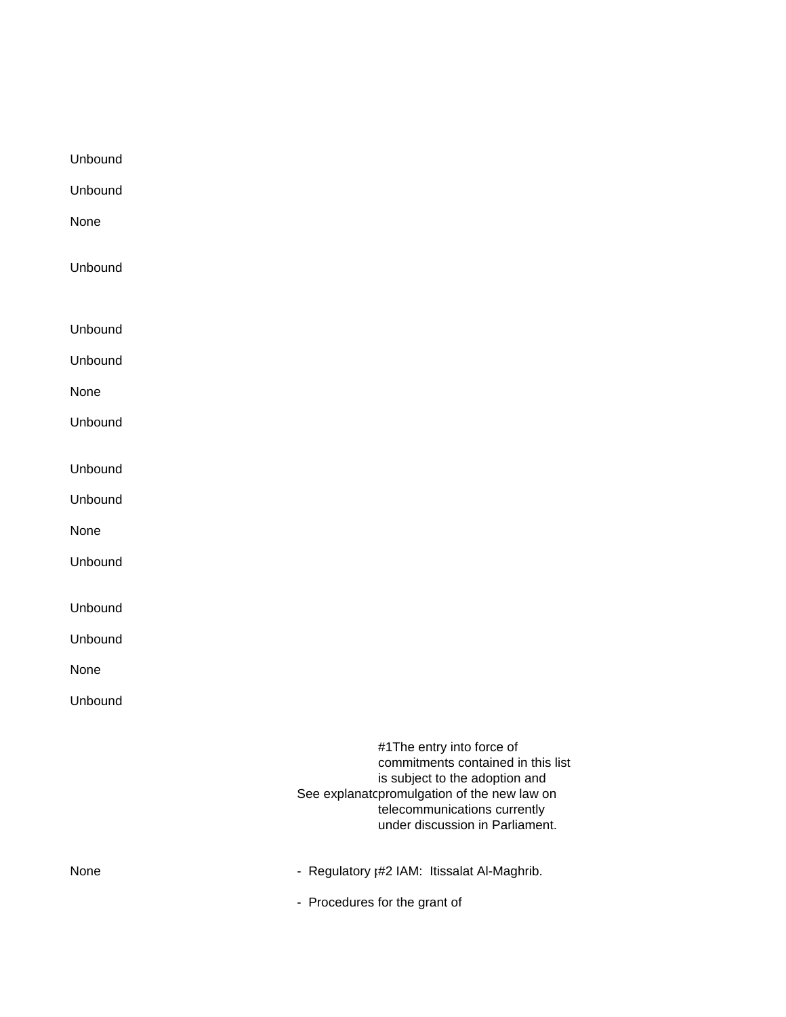Unbound Unbound None Unbound Unbound Unbound None Unbound Unbound Unbound None Unbound Unbound Unbound None Unbound #1The entry into force of commitments contained in this list is subject to the adoption and See explanatopromulgation of the new law on telecommunications currently under discussion in Parliament. None **None** - Regulatory <sub>1</sub>#2 IAM: Itissalat Al-Maghrib. - Procedures for the grant of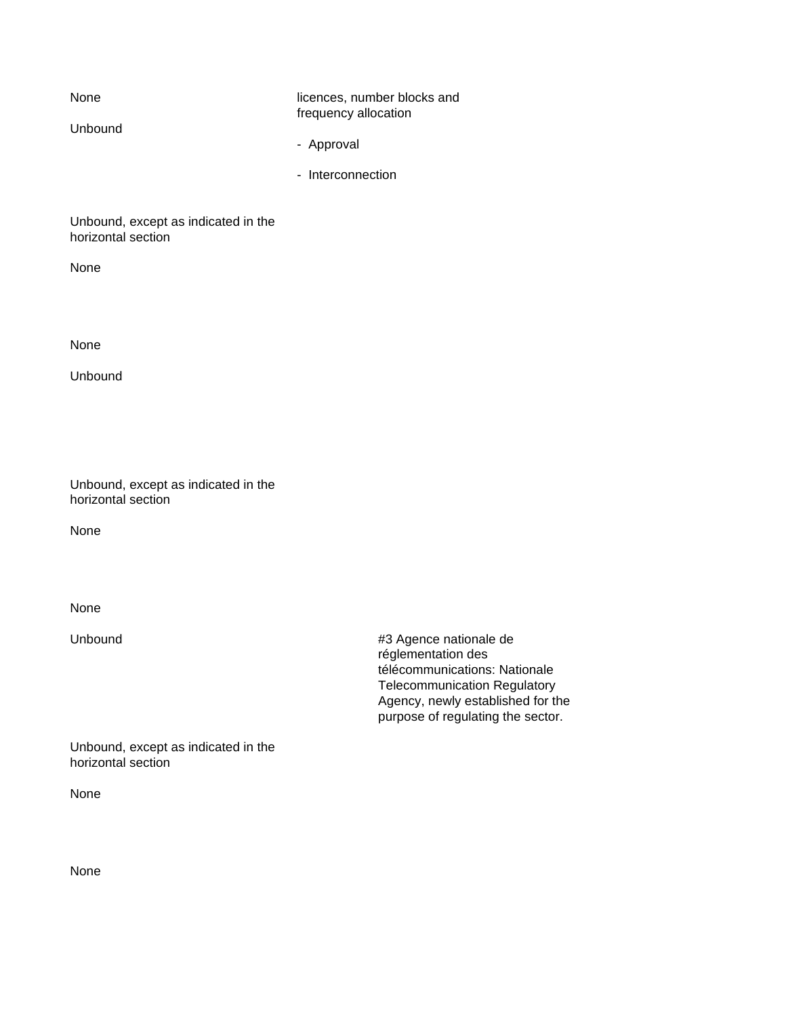None licences, number blocks and frequency allocation Unbound - Approval - Interconnection

Unbound, except as indicated in the horizontal section

None

None

Unbound

| Unbound, except as indicated in the |  |  |
|-------------------------------------|--|--|
| horizontal section                  |  |  |

None

None

Unbound #3 Agence nationale de réglementation des télécommunications: Nationale Telecommunication Regulatory Agency, newly established for the purpose of regulating the sector.

Unbound, except as indicated in the horizontal section

None

None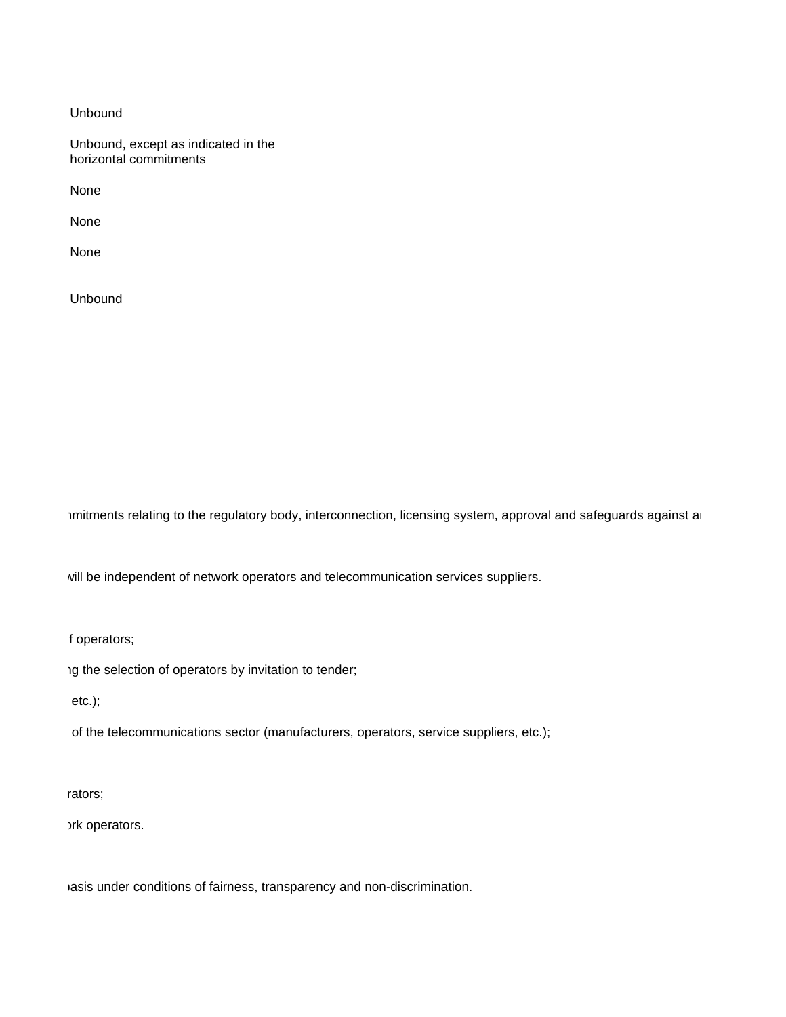Unbound

Unbound, except as indicated in the horizontal commitments

None

None

None

Unbound

Imitments relating to the regulatory body, interconnection, licensing system, approval and safeguards against ar

will be independent of network operators and telecommunication services suppliers.

f operators;

 $10$  the selection of operators by invitation to tender;

 $etc.$ );

of the telecommunications sector (manufacturers, operators, service suppliers, etc.);

rators;

ork operators.

iasis under conditions of fairness, transparency and non-discrimination.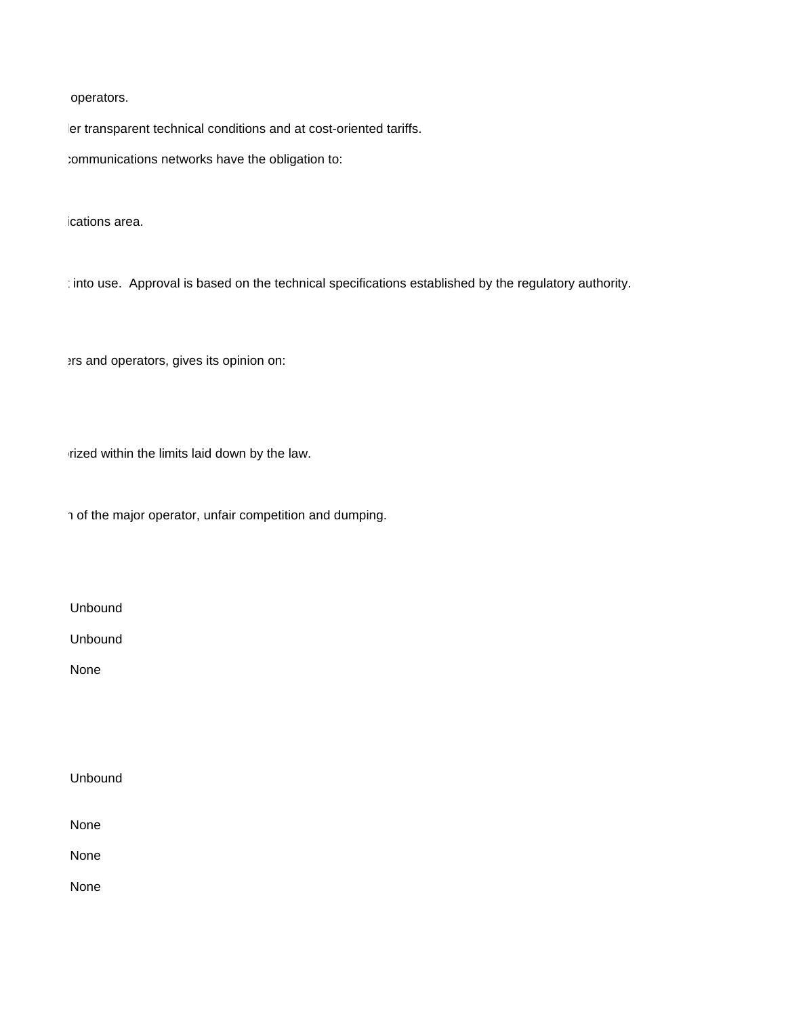operators.

ler transparent technical conditions and at cost-oriented tariffs.

tommunications networks have the obligation to:

ications area.

: into use. Approval is based on the technical specifications established by the regulatory authority.

Prs and operators, gives its opinion on:

rized within the limits laid down by the law.

n of the major operator, unfair competition and dumping.

Unbound

Unbound

None

Unbound

None

None

None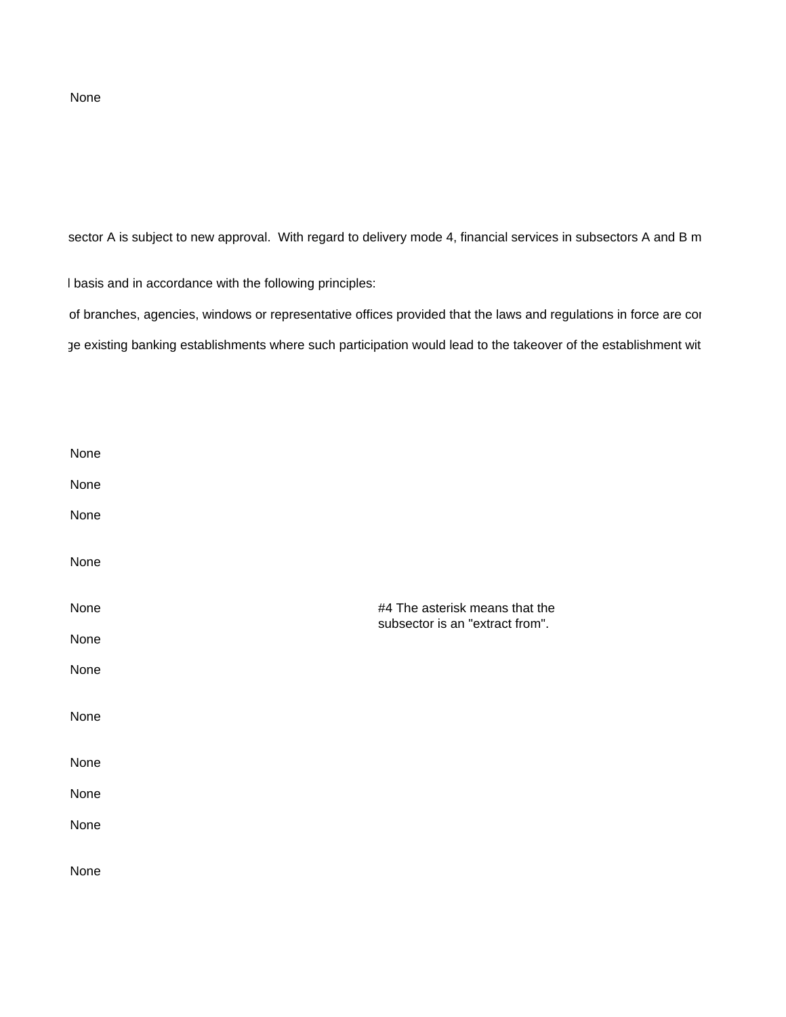#### None

sector A is subject to new approval. With regard to delivery mode 4, financial services in subsectors A and B m

I basis and in accordance with the following principles:

of branches, agencies, windows or representative offices provided that the laws and regulations in force are cor ge existing banking establishments where such participation would lead to the takeover of the establishment wit

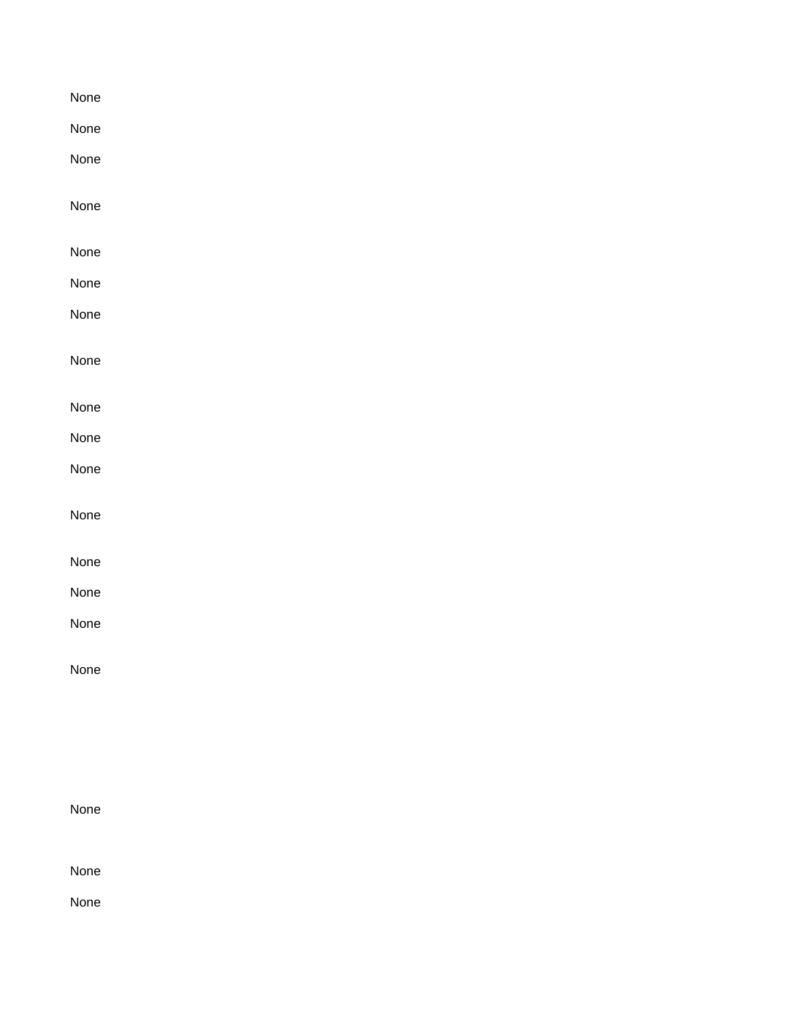| None |  |  |  |
|------|--|--|--|
| None |  |  |  |
| None |  |  |  |
| None |  |  |  |
|      |  |  |  |
| None |  |  |  |
| None |  |  |  |
| None |  |  |  |
| None |  |  |  |
| None |  |  |  |
| None |  |  |  |
| None |  |  |  |
| None |  |  |  |
| None |  |  |  |
| None |  |  |  |
| None |  |  |  |
| None |  |  |  |
|      |  |  |  |
|      |  |  |  |
|      |  |  |  |
| None |  |  |  |
|      |  |  |  |
| None |  |  |  |
| None |  |  |  |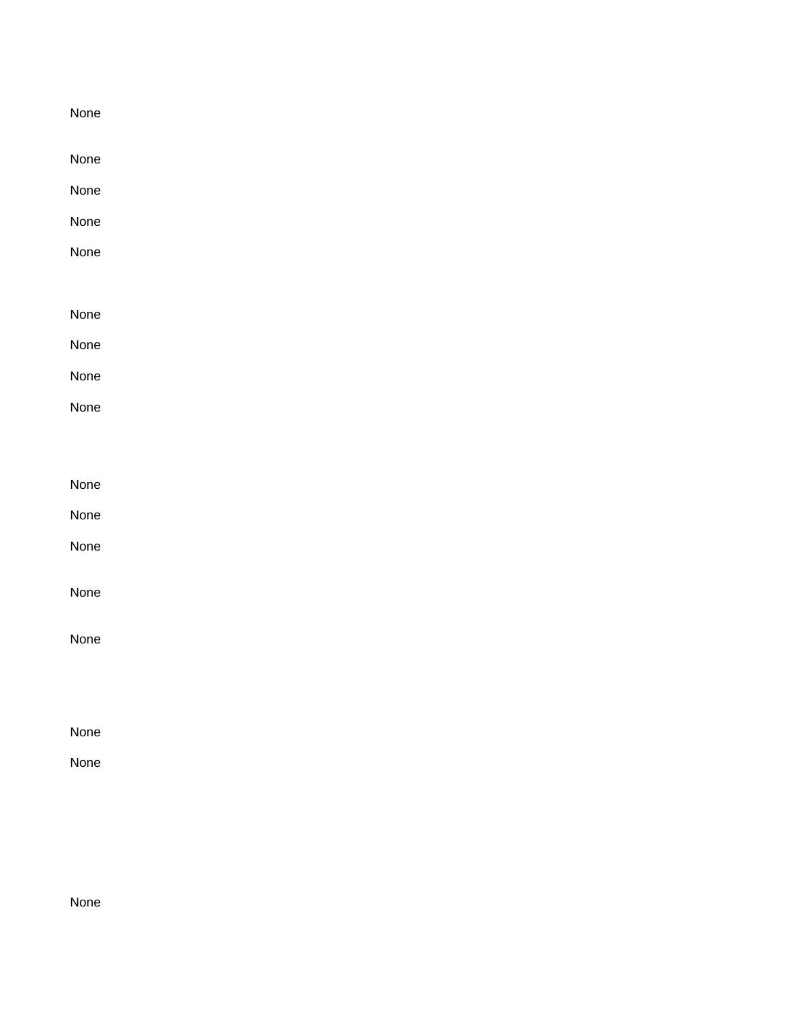| None |  |  |
|------|--|--|
| None |  |  |
| None |  |  |
| None |  |  |
| None |  |  |
|      |  |  |
| None |  |  |
| None |  |  |
| None |  |  |
| None |  |  |
|      |  |  |
| None |  |  |
| None |  |  |
| None |  |  |
| None |  |  |
| None |  |  |
|      |  |  |
|      |  |  |
| None |  |  |
|      |  |  |

None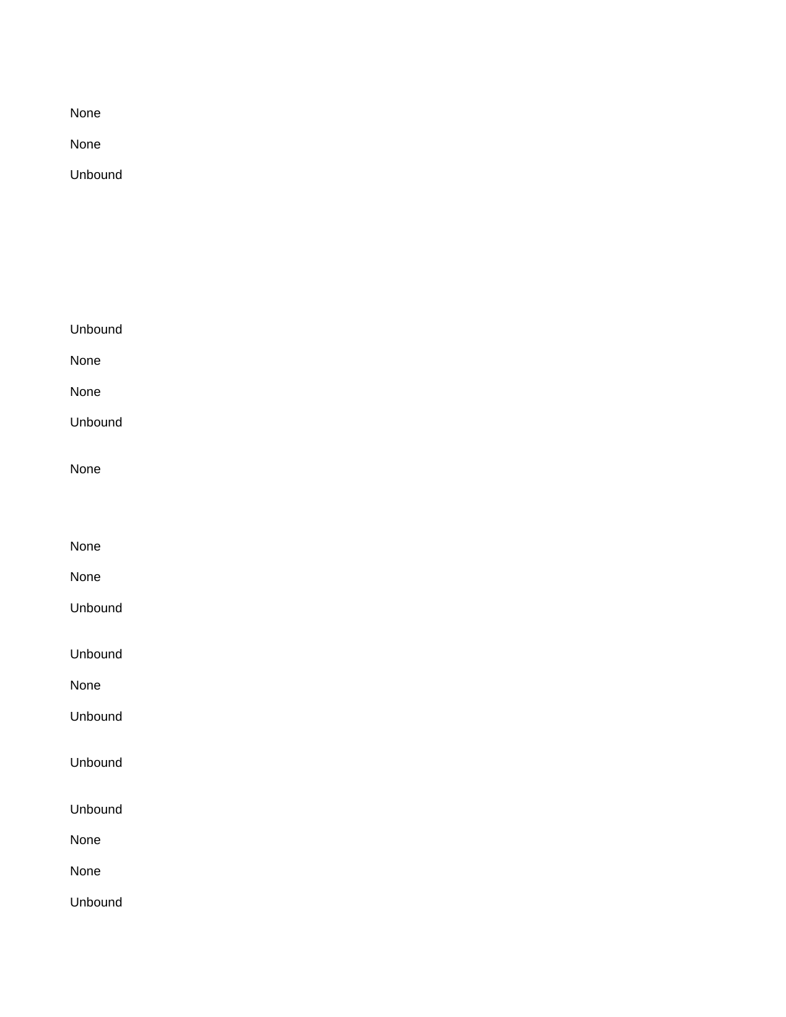None

None

Unbound

| Unbound |  |  |
|---------|--|--|
| None    |  |  |
| None    |  |  |
| Unbound |  |  |
| None    |  |  |
| None    |  |  |
| None    |  |  |
| Unbound |  |  |
| Unbound |  |  |
| None    |  |  |
| Unbound |  |  |
|         |  |  |

Unbound

Unbound

None

None

Unbound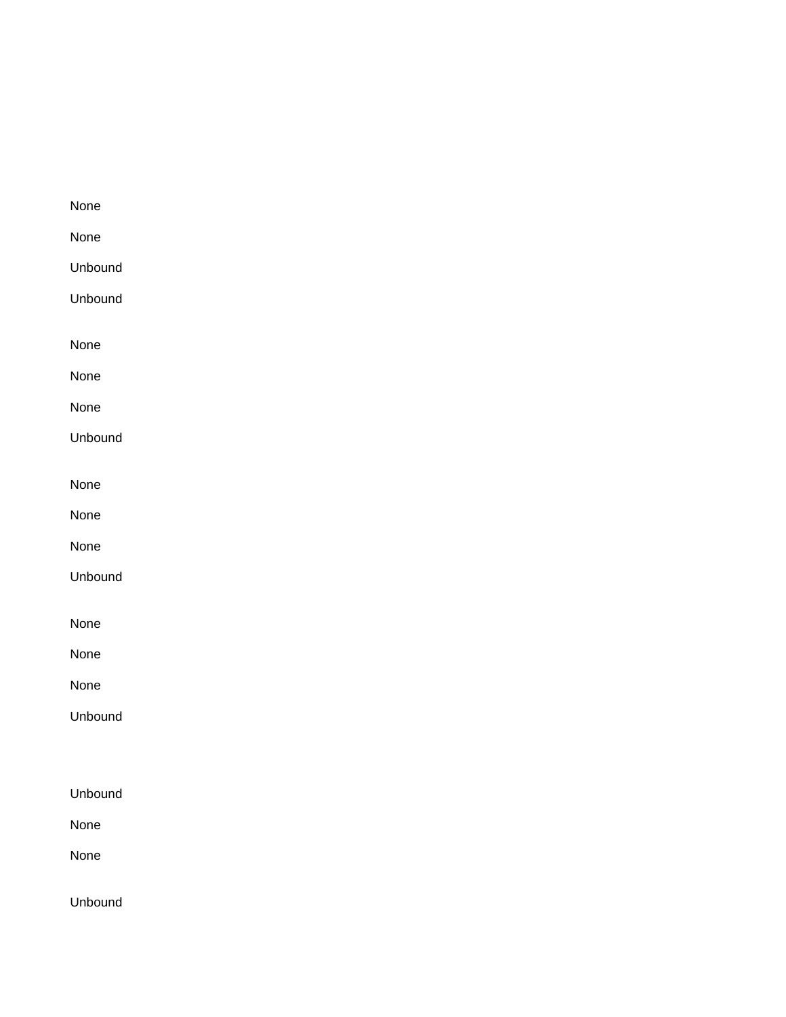| None    |
|---------|
| None    |
| Unbound |
| Unbound |
|         |
| None    |
| None    |
| None    |
| Unbound |
|         |
| None    |
| None    |
| None    |
| Unbound |
|         |
| None    |
| None    |
| None    |
| Unbound |
|         |
|         |
| Unbound |
| None    |
| None    |
|         |
| Unbound |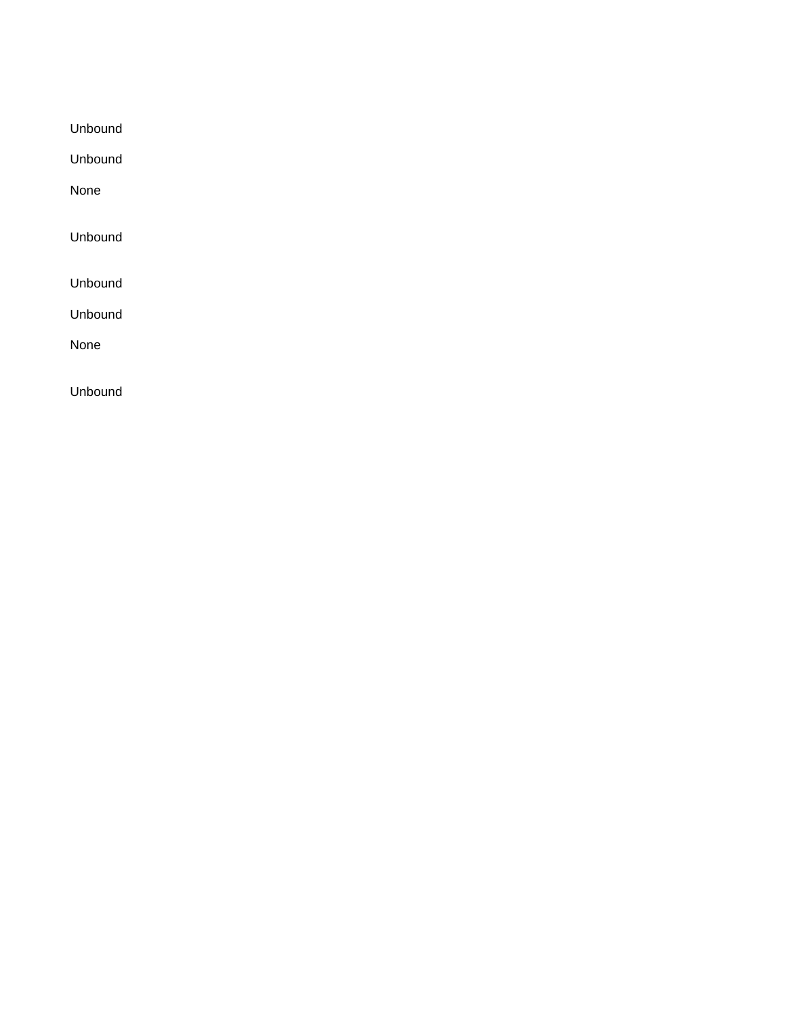Unbound

Unbound

None

Unbound

Unbound

Unbound

None

Unbound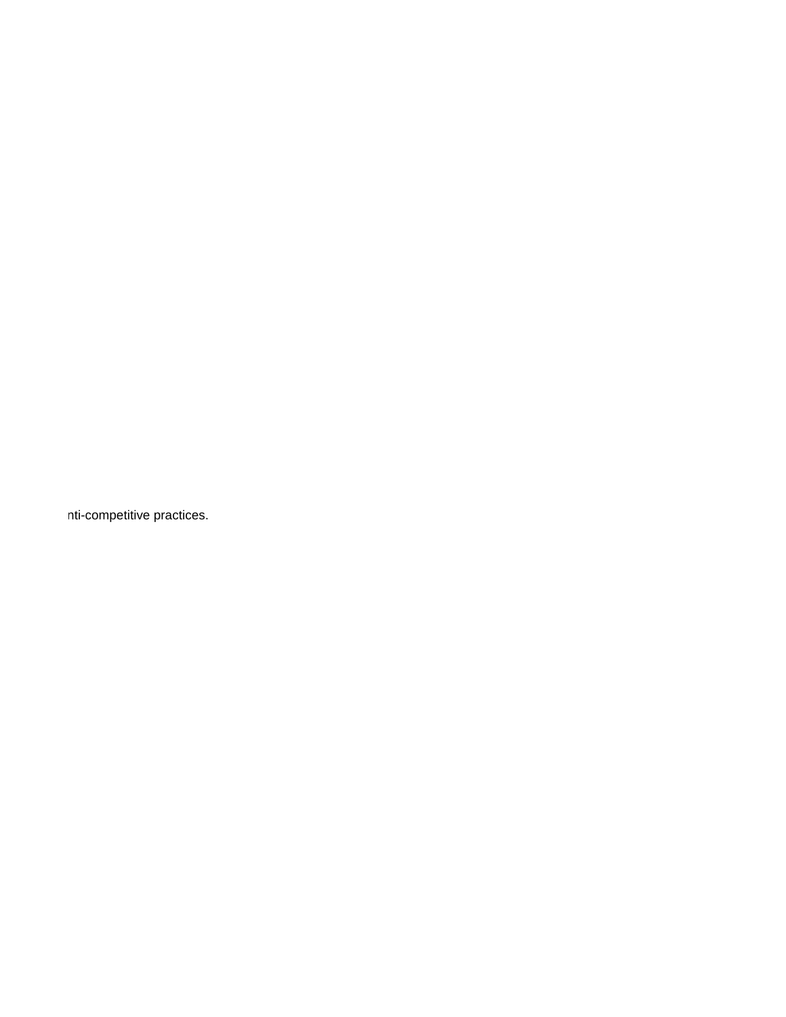nti-competitive practices.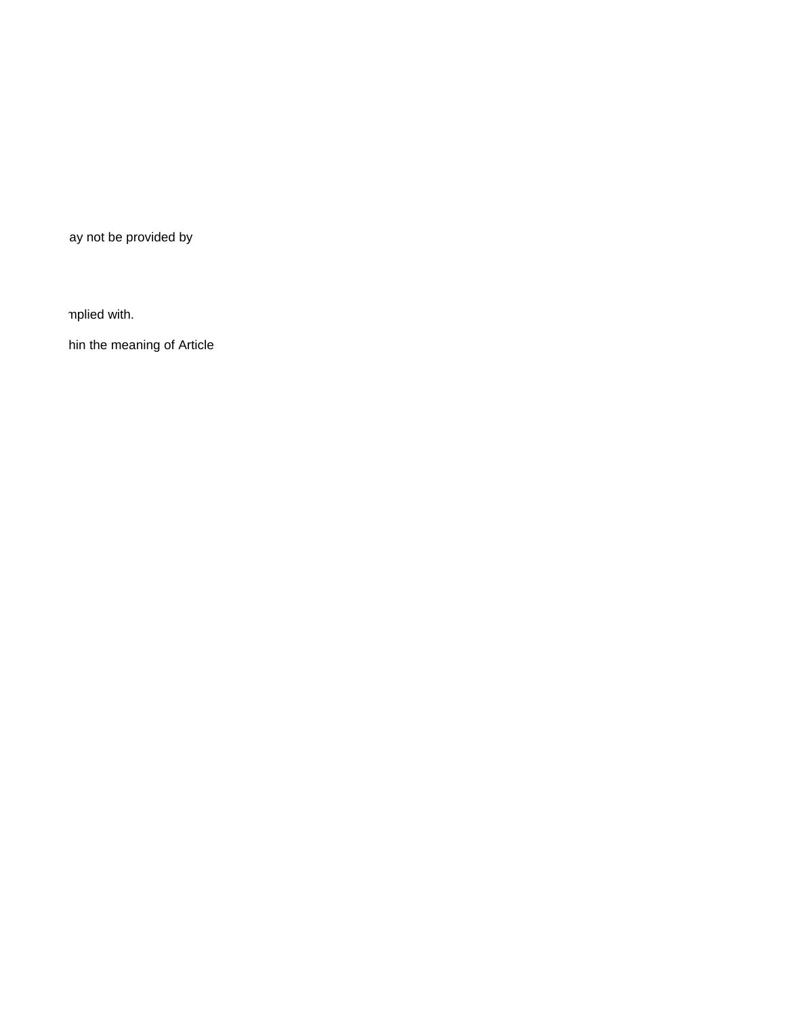ay not be provided by

mplied with.

hin the meaning of Article